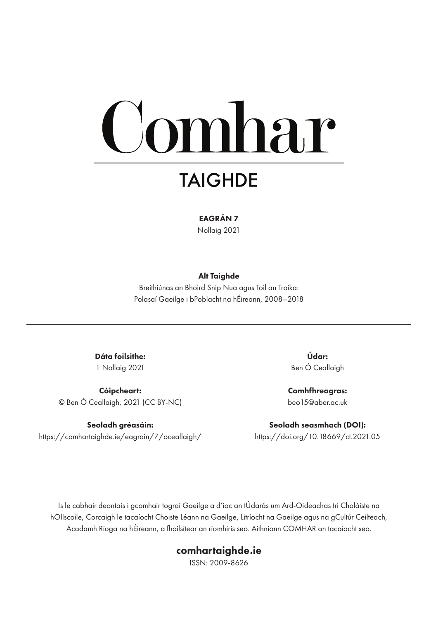# omhar

## **TAIGHDE**

#### EAGRÁN 7

Nollaig 2021

#### Alt Taighde

Breithiúnas an Bhoird Snip Nua agus Toil an Troika: Polasaí Gaeilge i bPoblacht na hÉireann, 2008–2018

Dáta foilsithe: 1 Nollaig 2021

Cóipcheart: © Ben Ó Ceallaigh, 2021 (CC BY-NC)

Seoladh gréasáin: https://comhartaighde.ie/eagrain/7/oceallaigh/

Údar: Ben Ó Ceallaigh

Comhfhreagras: beo15@aber.ac.uk

Seoladh seasmhach (DOI): https://doi.org/10.18669/ct.2021.05

Is le cabhair deontais i gcomhair tograí Gaeilge a d'íoc an tÚdarás um Ard-Oideachas trí Choláiste na hOllscoile, Corcaigh le tacaíocht Choiste Léann na Gaeilge, Litríocht na Gaeilge agus na gCultúr Ceilteach, Acadamh Ríoga na hÉireann, a fhoilsítear an ríomhiris seo. Aithníonn COMHAR an tacaíocht seo.

#### comhartaighde.ie

ISSN: 2009-8626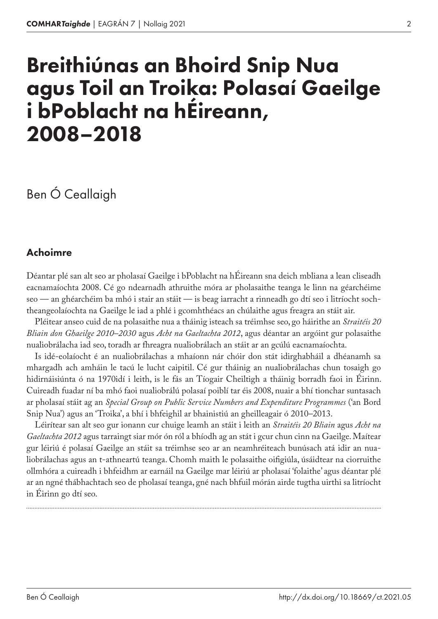# Breithiúnas an Bhoird Snip Nua agus Toil an Troika: Polasaí Gaeilge i bPoblacht na hÉireann, 2008–2018

## Ben Ó Ceallaigh

#### Achoimre

Déantar plé san alt seo ar pholasaí Gaeilge i bPoblacht na hÉireann sna deich mbliana a lean cliseadh eacnamaíochta 2008. Cé go ndearnadh athruithe móra ar pholasaithe teanga le linn na géarchéime seo — an ghéarchéim ba mhó i stair an stáit — is beag iarracht a rinneadh go dtí seo i litríocht sochtheangeolaíochta na Gaeilge le iad a phlé i gcomhthéacs an chúlaithe agus freagra an stáit air.

Pléitear anseo cuid de na polasaithe nua a tháinig isteach sa tréimhse seo, go háirithe an *Straitéis 20 Bliain don Ghaeilge 2010–2030* agus *Acht na Gaeltachta 2012*, agus déantar an argóint gur polasaithe nualiobrálacha iad seo, toradh ar fhreagra nualiobrálach an stáit ar an gcúlú eacnamaíochta.

Is idé-eolaíocht é an nualiobrálachas a mhaíonn nár chóir don stát idirghabháil a dhéanamh sa mhargadh ach amháin le tacú le lucht caipitil. Cé gur tháinig an nualiobrálachas chun tosaigh go hidirnáisiúnta ó na 1970idí i leith, is le fás an Tíogair Cheiltigh a tháinig borradh faoi in Éirinn. Cuireadh fuadar ní ba mhó faoi nualiobrálú polasaí poiblí tar éis 2008, nuair a bhí tionchar suntasach ar pholasaí stáit ag an *Special Group on Public Service Numbers and Expenditure Programmes* ('an Bord Snip Nua') agus an 'Troika', a bhí i bhfeighil ar bhainistiú an gheilleagair ó 2010–2013.

Léirítear san alt seo gur ionann cur chuige leamh an stáit i leith an *Straitéis 20 Bliain* agus *Acht na Gaeltachta 2012* agus tarraingt siar mór ón ról a bhíodh ag an stát i gcur chun cinn na Gaeilge. Maítear gur léiriú é polasaí Gaeilge an stáit sa tréimhse seo ar an neamhréiteach bunúsach atá idir an nualiobrálachas agus an t-athneartú teanga. Chomh maith le polasaithe oifigiúla, úsáidtear na ciorruithe ollmhóra a cuireadh i bhfeidhm ar earnáil na Gaeilge mar léiriú ar pholasaí 'folaithe' agus déantar plé ar an ngné thábhachtach seo de pholasaí teanga, gné nach bhfuil mórán airde tugtha uirthi sa litríocht in Éirinn go dtí seo.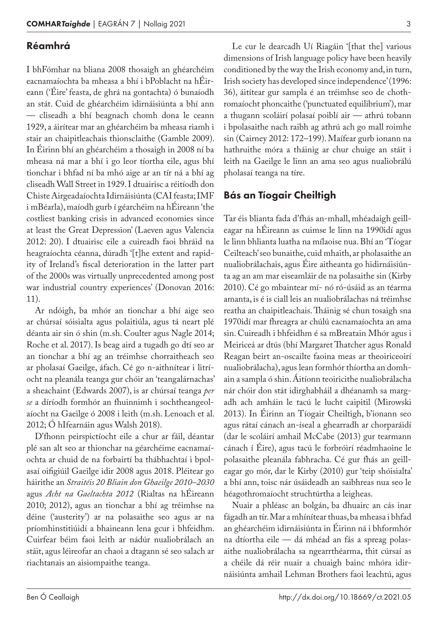#### Réamhrá

I bhFómhar na bliana 2008 thosaigh an ghéarchéim eacnamaíochta ba mheasa a bhí i bPoblacht na hÉireann ('Éire' feasta, de ghrá na gontachta) ó bunaíodh an stát. Cuid de ghéarchéim idirnáisiúnta a bhí ann — cliseadh a bhí beagnach chomh dona le ceann 1929, a áirítear mar an ghéarchéim ba mheasa riamh i stair an chaipitleachais thionsclaithe (Gamble 2009). In Éirinn bhí an ghéarchéim a thosaigh in 2008 ní ba mheasa ná mar a bhí i go leor tíortha eile, agus bhí tionchar i bhfad ní ba mhó aige ar an tír ná a bhí ag cliseadh Wall Street in 1929. I dtuairisc a réitíodh don Chiste Airgeadaíochta Idirnáisiúnta (CAI feasta; IMF i mBéarla), maíodh gurb í géarchéim na hÉireann 'the costliest banking crisis in advanced economies since at least the Great Depression' (Laeven agus Valencia 2012: 20). I dtuairisc eile a cuireadh faoi bhráid na heagraíochta céanna, dúradh '[t]he extent and rapidity of Ireland's fiscal deterioration in the latter part of the 2000s was virtually unprecedented among post war industrial country experiences' (Donovan 2016: 11).

Ar ndóigh, ba mhór an tionchar a bhí aige seo ar chúrsaí sóisialta agus polaitiúla, agus tá neart plé déanta air sin ó shin (m.sh. Coulter agus Nagle 2014; Roche et al. 2017). Is beag aird a tugadh go dtí seo ar an tionchar a bhí ag an tréimhse chorraitheach seo ar pholasaí Gaeilge, áfach. Cé go n-aithnítear i litríocht na pleanála teanga gur chóir an 'teangalárnachas' a sheachaint (Edwards 2007), is ar chúrsaí teanga *per se* a díríodh formhór an fhuinnimh i sochtheangeolaíocht na Gaeilge ó 2008 i leith (m.sh. Lenoach et al. 2012; Ó hIfearnáin agus Walsh 2018).

D'fhonn peirspictíocht eile a chur ar fáil, déantar plé san alt seo ar thionchar na géarchéime eacnamaíochta ar chuid de na forbairtí ba thábhachtaí i bpolasaí oifigiúil Gaeilge idir 2008 agus 2018. Pléitear go háirithe an *Straitéis 20 Bliain don Ghaeilge 2010–2030* agus *Acht na Gaeltachta 2012* (Rialtas na hÉireann 2010; 2012), agus an tionchar a bhí ag tréimhse na déine ('austerity') ar na polasaithe seo agus ar na príomhinstitiúidí a bhaineann lena gcur i bhfeidhm. Cuirfear béim faoi leith ar nádúr nualiobrálach an stáit, agus léireofar an chaoi a dtagann sé seo salach ar riachtanais an aisiompaithe teanga.

Le cur le dearcadh Uí Riagáin '[that the] various dimensions of Irish language policy have been heavily conditioned by the way the Irish economy and, in turn, Irish society has developed since independence' (1996: 36), áitítear gur sampla é an tréimhse seo de chothromaíocht phoncaithe ('punctuated equilibrium'), mar a thugann scoláirí polasaí poiblí air — athrú tobann i bpolasaithe nach raibh ag athrú ach go mall roimhe sin (Cairney 2012: 172–199). Maífear gurb ionann na hathruithe móra a tháinig ar chur chuige an stáit i leith na Gaeilge le linn an ama seo agus nualiobrálú pholasaí teanga na tíre.

#### Bás an Tíogair Cheiltigh

Tar éis blianta fada d'fhás an-mhall, mhéadaigh geilleagar na hÉireann as cuimse le linn na 1990idí agus le linn bhlianta luatha na mílaoise nua. Bhí an 'Tíogar Ceilteach' seo bunaithe, cuid mhaith, ar pholasaithe an nualiobrálachais, agus Éire aitheanta go hidirnáisiúnta ag an am mar eiseamláir de na polasaithe sin (Kirby 2010). Cé go mbaintear mí- nó ró-úsáid as an téarma amanta, is é is ciall leis an nualiobrálachas ná tréimhse reatha an chaipitleachais. Tháinig sé chun tosaigh sna 1970idí mar fhreagra ar chúlú eacnamaíochta an ama sin. Cuireadh i bhfeidhm é sa mBreatain Mhór agus i Meiriceá ar dtús (bhí Margaret Thatcher agus Ronald Reagan beirt an-oscailte faoina meas ar theoiriceoirí nualiobrálacha), agus lean formhór thíortha an domhain a sampla ó shin. Áitíonn teoiricithe nualiobrálacha nár chóir don stát idirghabháil a dhéanamh sa margadh ach amháin le tacú le lucht caipitil (Mirowski 2013). In Éirinn an Tíogair Cheiltigh, b'ionann seo agus rátaí cánach an-íseal a ghearradh ar chorparáidí (dar le scoláirí amhail McCabe (2013) gur tearmann cánach í Éire), agus tacú le forbróirí réadmhaoine le polasaithe pleanála fabhracha. Cé gur fhás an geilleagar go mór, dar le Kirby (2010) gur 'teip shóisialta' a bhí ann, toisc nár úsáideadh an saibhreas nua seo le héagothromaíocht struchtúrtha a leigheas.

Nuair a phléasc an bolgán, ba dhuairc an cás inar fágadh an tír. Mar a mhínítear thuas, ba mheasa i bhfad an ghéarchéim idirnáisiúnta in Éirinn ná i bhformhór na dtíortha eile — dá mhéad an fás a spreag polasaithe nualiobrálacha sa ngearrthéarma, thit cúrsaí as a chéile dá réir nuair a chuaigh bainc mhóra idirnáisiúnta amhail Lehman Brothers faoi leachtú, agus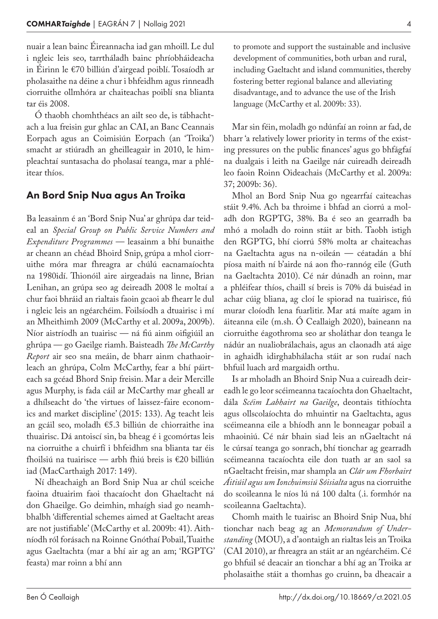nuair a lean bainc Éireannacha iad gan mhoill. Le dul i ngleic leis seo, tarrtháladh bainc phríobháideacha in Éirinn le €70 billiún d'airgead poiblí. Tosaíodh ar pholasaithe na déine a chur i bhfeidhm agus rinneadh ciorruithe ollmhóra ar chaiteachas poiblí sna blianta tar éis 2008.

Ó thaobh chomhthéacs an ailt seo de, is tábhachtach a lua freisin gur ghlac an CAI, an Banc Ceannais Eorpach agus an Coimisiún Eorpach (an 'Troika') smacht ar stiúradh an gheilleagair in 2010, le himpleachtaí suntasacha do pholasaí teanga, mar a phléitear thíos.

#### An Bord Snip Nua agus An Troika

Ba leasainm é an 'Bord Snip Nua' ar ghrúpa dar teideal an *Special Group on Public Service Numbers and Expenditure Programmes* — leasainm a bhí bunaithe ar cheann an chéad Bhoird Snip, grúpa a mhol ciorruithe móra mar fhreagra ar chúlú eacnamaíochta na 1980idí. Thionóil aire airgeadais na linne, Brian Lenihan, an grúpa seo ag deireadh 2008 le moltaí a chur faoi bhráid an rialtais faoin gcaoi ab fhearr le dul i ngleic leis an ngéarchéim. Foilsíodh a dtuairisc i mí an Mheithimh 2009 (McCarthy et al. 2009a, 2009b). Níor aistríodh an tuairisc — ná fiú ainm oifigiúil an ghrúpa — go Gaeilge riamh. Baisteadh *The McCarthy Report* air seo sna meáin, de bharr ainm chathaoirleach an ghrúpa, Colm McCarthy, fear a bhí páirteach sa gcéad Bhord Snip freisin. Mar a deir Mercille agus Murphy, is fada cáil ar McCarthy mar gheall ar a dhílseacht do 'the virtues of laissez-faire economics and market discipline' (2015: 133). Ag teacht leis an gcáil seo, moladh €5.3 billiún de chiorraithe ina thuairisc. Dá antoiscí sin, ba bheag é i gcomórtas leis na ciorruithe a chuirfí i bhfeidhm sna blianta tar éis fhoilsiú na tuairisce — arbh fhiú breis is €20 billiún iad (MacCarthaigh 2017: 149).

Ní dheachaigh an Bord Snip Nua ar chúl sceiche faoina dtuairim faoi thacaíocht don Ghaeltacht ná don Ghaeilge. Go deimhin, mhaígh siad go neamhbhalbh 'differential schemes aimed at Gaeltacht areas are not justifiable' (McCarthy et al. 2009b: 41). Aithníodh ról forásach na Roinne Gnóthaí Pobail, Tuaithe agus Gaeltachta (mar a bhí air ag an am; 'RGPTG' feasta) mar roinn a bhí ann

to promote and support the sustainable and inclusive development of communities, both urban and rural, including Gaeltacht and island communities, thereby fostering better regional balance and alleviating disadvantage, and to advance the use of the Irish language (McCarthy et al. 2009b: 33).

Mar sin féin, moladh go ndúnfaí an roinn ar fad, de bharr 'a relatively lower priority in terms of the existing pressures on the public finances' agus go bhfágfaí na dualgais i leith na Gaeilge nár cuireadh deireadh leo faoin Roinn Oideachais (McCarthy et al. 2009a: 37; 2009b: 36).

Mhol an Bord Snip Nua go ngearrfaí caiteachas stáit 9.4%. Ach ba throime i bhfad an ciorrú a moladh don RGPTG, 38%. Ba é seo an gearradh ba mhó a moladh do roinn stáit ar bith. Taobh istigh den RGPTG, bhí ciorrú 58% molta ar chaiteachas na Gaeltachta agus na n-oileán — céatadán a bhí píosa maith ní b'airde ná aon fho-rannóg eile (Guth na Gaeltachta 2010). Cé nár dúnadh an roinn, mar a phléifear thíos, chaill sí breis is 70% dá buiséad in achar cúig bliana, ag cloí le spiorad na tuairisce, fiú murar cloíodh lena fuarlitir. Mar atá maíte agam in áiteanna eile (m.sh. Ó Ceallaigh 2020), baineann na ciorruithe éagothroma seo ar sholáthar don teanga le nádúr an nualiobrálachais, agus an claonadh atá aige in aghaidh idirghabhálacha stáit ar son rudaí nach bhfuil luach ard margaidh orthu.

Is ar mholadh an Bhoird Snip Nua a cuireadh deireadh le go leor scéimeanna tacaíochta don Ghaeltacht, dála *Scéim Labhairt na Gaeilge*, deontais tithíochta agus ollscolaíochta do mhuintir na Gaeltachta, agus scéimeanna eile a bhíodh ann le bonneagar pobail a mhaoiniú. Cé nár bhain siad leis an nGaeltacht ná le cúrsaí teanga go sonrach, bhí tionchar ag gearradh scéimeanna tacaíochta eile don tuath ar an saol sa nGaeltacht freisin, mar shampla an *Clár um Fhorbairt Áitiúil agus um Ionchuimsiú Sóisialta* agus na ciorruithe do scoileanna le níos lú ná 100 dalta (.i. formhór na scoileanna Gaeltachta).

Chomh maith le tuairisc an Bhoird Snip Nua, bhí tionchar nach beag ag an *Memorandum of Understanding* (MOU), a d'aontaigh an rialtas leis an Troika (CAI 2010), ar fhreagra an stáit ar an ngéarchéim. Cé go bhfuil sé deacair an tionchar a bhí ag an Troika ar pholasaithe stáit a thomhas go cruinn, ba dheacair a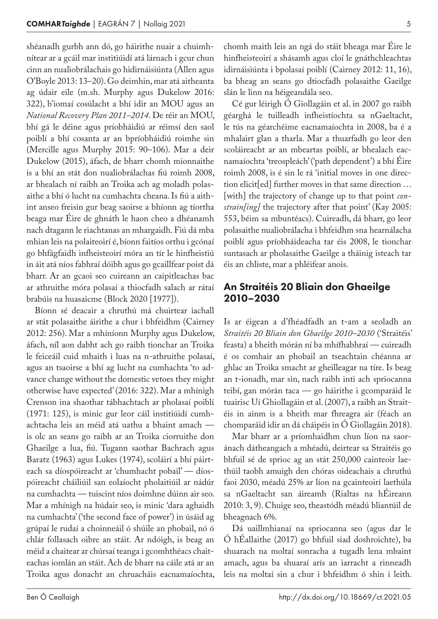shéanadh gurbh ann dó, go háirithe nuair a chuimhnítear ar a gcáil mar institiúidí atá lárnach i gcur chun cinn an nualiobrálachais go hidirnáisiúnta (Allen agus O'Boyle 2013: 13–20). Go deimhin, mar atá aitheanta ag údair eile (m.sh. Murphy agus Dukelow 2016: 322), b'iomaí cosúlacht a bhí idir an MOU agus an *National Recovery Plan 2011–2014*. De réir an MOU, bhí gá le déine agus príobháidiú ar réimsí den saol poiblí a bhí cosanta ar an bpríobháidiú roimhe sin (Mercille agus Murphy 2015: 90–106). Mar a deir Dukelow (2015), áfach, de bharr chomh mionnaithe is a bhí an stát don nualiobrálachas fiú roimh 2008, ar bhealach ní raibh an Troika ach ag moladh polasaithe a bhí ó lucht na cumhachta cheana. Is fiú a aithint anseo freisin gur beag saoirse a bhíonn ag tíortha beaga mar Éire de ghnáth le haon cheo a dhéanamh nach dtagann le riachtanas an mhargaidh. Fiú dá mba mhian leis na polaiteoirí é, bíonn faitíos orthu i gcónaí go bhfágfaidh infheisteoirí móra an tír le hinfheistiú in áit atá níos fabhraí dóibh agus go gcaillfear poist dá bharr. Ar an gcaoi seo cuireann an caipitleachas bac ar athruithe móra polasaí a thiocfadh salach ar rátaí brabúis na huasaicme (Block 2020 [1977]).

Bíonn sé deacair a chruthú má chuirtear iachall ar stát polasaithe áirithe a chur i bhfeidhm (Cairney 2012: 256). Mar a mhíníonn Murphy agus Dukelow, áfach, níl aon dabht ach go raibh tionchar an Troika le feiceáil cuid mhaith i luas na n-athruithe polasaí, agus an tsaoirse a bhí ag lucht na cumhachta 'to advance change without the domestic vetoes they might otherwise have expected' (2016: 322). Mar a mhínigh Crenson ina shaothar tábhachtach ar pholasaí poiblí (1971: 125), is minic gur leor cáil institiúidí cumhachtacha leis an méid atá uathu a bhaint amach is olc an seans go raibh ar an Troika ciorruithe don Ghaeilge a lua, fiú. Tugann saothar Bachrach agus Baratz (1963) agus Lukes (1974), scoláirí a bhí páirteach sa díospóireacht ar 'chumhacht pobail' — díospóireacht cháiliúil san eolaíocht pholaitiúil ar nádúr na cumhachta — tuiscint níos doimhne dúinn air seo. Mar a mhínigh na húdair seo, is minic 'dara aghaidh na cumhachta' ('the second face of power') in úsáid ag grúpaí le rudaí a choinneáil ó shúile an phobail, nó ó chlár follasach oibre an stáit. Ar ndóigh, is beag an méid a chaitear ar chúrsaí teanga i gcomhthéacs chaiteachas iomlán an stáit. Ach de bharr na cáile atá ar an Troika agus donacht an chruacháis eacnamaíochta,

chomh maith leis an ngá do stáit bheaga mar Éire le hinfheisteoirí a shásamh agus cloí le gnáthchleachtas idirnáisiúnta i bpolasaí poiblí (Cairney 2012: 11, 16), ba bheag an seans go dtiocfadh polasaithe Gaeilge slán le linn na héigeandála seo.

Cé gur léirigh Ó Giollagáin et al. in 2007 go raibh géarghá le tuilleadh infheistíochta sa nGaeltacht, le tús na géarchéime eacnamaíochta in 2008, ba é a mhalairt glan a tharla. Mar a thuarfadh go leor den scoláireacht ar an mbeartas poiblí, ar bhealach eacnamaíochta 'treospleách' ('path dependent') a bhí Éire roimh 2008, is é sin le rá 'initial moves in one direction elicit[ed] further moves in that same direction … [with] the trajectory of change up to that point *constrain[ing]* the trajectory after that point' (Kay 2005: 553, béim sa mbuntéacs). Cuireadh, dá bharr, go leor polasaithe nualiobrálacha i bhfeidhm sna hearnálacha poiblí agus príobháideacha tar éis 2008, le tionchar suntasach ar pholasaithe Gaeilge a tháinig isteach tar éis an chliste, mar a phléifear anois.

#### An Straitéis 20 Bliain don Ghaeilge 2010–2030

Is ar éigean a d'fhéadfadh an t-am a seoladh an *Straitéis 20 Bliain don Ghaeilge 2010–2030* ('Straitéis' feasta) a bheith mórán ní ba mhífhabhraí — cuireadh é os comhair an phobail an tseachtain chéanna ar ghlac an Troika smacht ar gheilleagar na tíre. Is beag an t-ionadh, mar sin, nach raibh inti ach spriocanna teibí, gan mórán taca — go háirithe i gcomparáid le tuairisc Uí Ghiollagáin et al. (2007), a raibh an Straitéis in ainm is a bheith mar fhreagra air (féach an chomparáid idir an dá cháipéis in Ó Giollagáin 2018).

Mar bharr ar a príomhaidhm chun líon na saoránach dátheangach a mhéadú, deirtear sa Straitéis go bhfuil sé de sprioc ag an stát 250,000 cainteoir laethúil taobh amuigh den chóras oideachais a chruthú faoi 2030, méadú 25% ar líon na gcainteoirí laethúla sa nGaeltacht san áireamh (Rialtas na hÉireann 2010: 3, 9). Chuige seo, theastódh méadú bliantúil de bheagnach 6%.

Dá uaillmhianaí na spriocanna seo (agus dar le Ó hÉallaithe (2017) go bhfuil siad doshroichte), ba shuarach na moltaí sonracha a tugadh lena mbaint amach, agus ba shuaraí arís an iarracht a rinneadh leis na moltaí sin a chur i bhfeidhm ó shin i leith.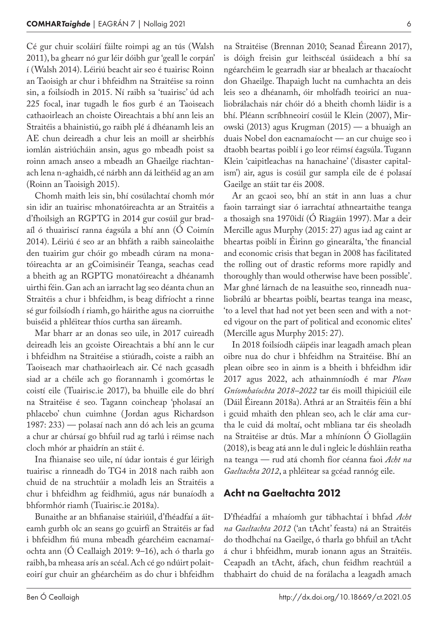Cé gur chuir scoláirí fáilte roimpi ag an tús (Walsh 2011), ba ghearr nó gur léir dóibh gur 'geall le corpán' í (Walsh 2014). Léiriú beacht air seo é tuairisc Roinn an Taoisigh ar chur i bhfeidhm na Straitéise sa roinn sin, a foilsíodh in 2015. Ní raibh sa 'tuairisc' úd ach 225 focal, inar tugadh le fios gurb é an Taoiseach cathaoirleach an choiste Oireachtais a bhí ann leis an Straitéis a bhainistiú, go raibh plé á dhéanamh leis an AE chun deireadh a chur leis an moill ar sheirbhís iomlán aistriúcháin ansin, agus go mbeadh poist sa roinn amach anseo a mbeadh an Ghaeilge riachtanach lena n-aghaidh, cé nárbh ann dá leithéid ag an am (Roinn an Taoisigh 2015).

Chomh maith leis sin, bhí cosúlachtaí chomh mór sin idir an tuairisc mhonatóireachta ar an Straitéis a d'fhoilsigh an RGPTG in 2014 gur cosúil gur bradaíl ó thuairiscí ranna éagsúla a bhí ann (Ó Coimín 2014). Léiriú é seo ar an bhfáth a raibh saineolaithe den tuairim gur chóir go mbeadh cúram na monatóireachta ar an gCoimisinéir Teanga, seachas cead a bheith ag an RGPTG monatóireacht a dhéanamh uirthi féin. Gan ach an iarracht lag seo déanta chun an Straitéis a chur i bhfeidhm, is beag difríocht a rinne sé gur foilsíodh í riamh, go háirithe agus na ciorruithe buiséid a phléitear thíos curtha san áireamh.

Mar bharr ar an donas seo uile, in 2017 cuireadh deireadh leis an gcoiste Oireachtais a bhí ann le cur i bhfeidhm na Straitéise a stiúradh, coiste a raibh an Taoiseach mar chathaoirleach air. Cé nach gcasadh siad ar a chéile ach go fíorannamh i gcomórtas le coistí eile (Tuairisc.ie 2017), ba bhuille eile do bhrí na Straitéise é seo. Tagann coincheap 'pholasaí an phlacebo' chun cuimhne ( Jordan agus Richardson 1987: 233) — polasaí nach ann dó ach leis an gcuma a chur ar chúrsaí go bhfuil rud ag tarlú i réimse nach cloch mhór ar phaidrín an stáit é.

Ina fhianaise seo uile, ní údar iontais é gur léirigh tuairisc a rinneadh do TG4 in 2018 nach raibh aon chuid de na struchtúir a moladh leis an Straitéis a chur i bhfeidhm ag feidhmiú, agus nár bunaíodh a bhformhór riamh (Tuairisc.ie 2018a).

Bunaithe ar an bhfianaise stairiúil, d'fhéadfaí a áiteamh gurbh olc an seans go gcuirfí an Straitéis ar fad i bhfeidhm fiú muna mbeadh géarchéim eacnamaíochta ann (Ó Ceallaigh 2019: 9–16), ach ó tharla go raibh, ba mheasa arís an scéal. Ach cé go ndúirt polaiteoirí gur chuir an ghéarchéim as do chur i bhfeidhm na Straitéise (Brennan 2010; Seanad Éireann 2017), is dóigh freisin gur leithscéal úsáideach a bhí sa ngéarchéim le gearradh siar ar bhealach ar thacaíocht don Ghaeilge. Thapaigh lucht na cumhachta an deis leis seo a dhéanamh, óir mholfadh teoiricí an nualiobrálachais nár chóir dó a bheith chomh láidir is a bhí. Pléann scríbhneoirí cosúil le Klein (2007), Mirowski (2013) agus Krugman (2015) — a bhuaigh an duais Nobel don eacnamaíocht — an cur chuige seo i dtaobh beartas poiblí i go leor réimsí éagsúla. Tugann Klein 'caipitleachas na hanachaine' ('disaster capitalism') air, agus is cosúil gur sampla eile de é polasaí Gaeilge an stáit tar éis 2008.

Ar an gcaoi seo, bhí an stát in ann luas a chur faoin tarraingt siar ó iarrachtaí athneartaithe teanga a thosaigh sna 1970idí (Ó Riagáin 1997). Mar a deir Mercille agus Murphy (2015: 27) agus iad ag caint ar bheartas poiblí in Éirinn go ginearálta, 'the financial and economic crisis that began in 2008 has facilitated the rolling out of drastic reforms more rapidly and thoroughly than would otherwise have been possible'. Mar ghné lárnach de na leasuithe seo, rinneadh nualiobrálú ar bheartas poiblí, beartas teanga ina measc, 'to a level that had not yet been seen and with a noted vigour on the part of political and economic elites' (Mercille agus Murphy 2015: 27).

In 2018 foilsíodh cáipéis inar leagadh amach plean oibre nua do chur i bhfeidhm na Straitéise. Bhí an plean oibre seo in ainm is a bheith i bhfeidhm idir 2017 agus 2022, ach athainmníodh é mar *Plean Gníomhaíochta 2018–2022* tar éis moill thipiciúil eile (Dáil Éireann 2018a). Athrá ar an Straitéis féin a bhí i gcuid mhaith den phlean seo, ach le clár ama curtha le cuid dá moltaí, ocht mbliana tar éis sheoladh na Straitéise ar dtús. Mar a mhíníonn Ó Giollagáin (2018), is beag atá ann le dul i ngleic le dúshláin reatha na teanga — rud atá chomh fíor céanna faoi *Acht na Gaeltachta 2012*, a phléitear sa gcéad rannóg eile.

#### Acht na Gaeltachta 2012

D'fhéadfaí a mhaíomh gur tábhachtaí i bhfad *Acht na Gaeltachta 2012* ('an tAcht' feasta) ná an Straitéis do thodhchaí na Gaeilge, ó tharla go bhfuil an tAcht á chur i bhfeidhm, murab ionann agus an Straitéis. Ceapadh an tAcht, áfach, chun feidhm reachtúil a thabhairt do chuid de na forálacha a leagadh amach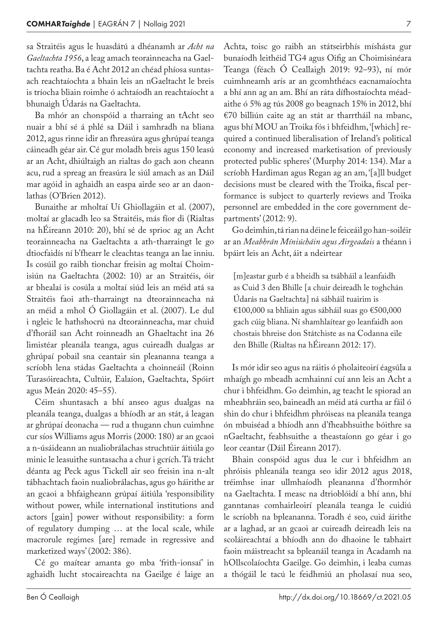sa Straitéis agus le huasdátú a dhéanamh ar *Acht na Gaeltachta 1956*, a leag amach teorainneacha na Gaeltachta reatha. Ba é Acht 2012 an chéad phíosa suntasach reachtaíochta a bhain leis an nGaeltacht le breis is tríocha bliain roimhe ó achtaíodh an reachtaíocht a bhunaigh Údarás na Gaeltachta.

Ba mhór an chonspóid a tharraing an tAcht seo nuair a bhí sé á phlé sa Dáil i samhradh na bliana 2012, agus rinne idir an fhreasúra agus ghrúpaí teanga cáineadh géar air. Cé gur moladh breis agus 150 leasú ar an Acht, dhiúltaigh an rialtas do gach aon cheann acu, rud a spreag an freasúra le siúl amach as an Dáil mar agóid in aghaidh an easpa airde seo ar an daonlathas (O'Brien 2012).

Bunaithe ar mholtaí Uí Ghiollagáin et al. (2007), moltaí ar glacadh leo sa Straitéis, más fíor di (Rialtas na hÉireann 2010: 20), bhí sé de sprioc ag an Acht teorainneacha na Gaeltachta a ath-tharraingt le go dtiocfaidís ní b'fhearr le cleachtas teanga an lae inniu. Is cosúil go raibh tionchar freisin ag moltaí Choimisiún na Gaeltachta (2002: 10) ar an Straitéis, óir ar bhealaí is cosúla a moltaí siúd leis an méid atá sa Straitéis faoi ath-tharraingt na dteorainneacha ná an méid a mhol Ó Giollagáin et al. (2007). Le dul i ngleic le hathshocrú na dteorainneacha, mar chuid d'fhoráil san Acht roinneadh an Ghaeltacht ina 26 limistéar pleanála teanga, agus cuireadh dualgas ar ghrúpaí pobail sna ceantair sin pleananna teanga a scríobh lena stádas Gaeltachta a choinneáil (Roinn Turasóireachta, Cultúir, Ealaíon, Gaeltachta, Spóirt agus Meán 2020: 45–55).

Céim shuntasach a bhí anseo agus dualgas na pleanála teanga, dualgas a bhíodh ar an stát, á leagan ar ghrúpaí deonacha — rud a thugann chun cuimhne cur síos Williams agus Morris (2000: 180) ar an gcaoi a n-úsáideann an nualiobrálachas struchtúir áitiúla go minic le leasuithe suntasacha a chur i gcrích. Tá trácht déanta ag Peck agus Tickell air seo freisin ina n-alt tábhachtach faoin nualiobrálachas, agus go háirithe ar an gcaoi a bhfaigheann grúpaí áitiúla 'responsibility without power, while international institutions and actors [gain] power without responsibility: a form of regulatory dumping … at the local scale, while macrorule regimes [are] remade in regressive and marketized ways' (2002: 386).

Cé go maítear amanta go mba 'frith-ionsaí' in aghaidh lucht stocaireachta na Gaeilge é laige an Achta, toisc go raibh an státseirbhís míshásta gur bunaíodh leithéid TG4 agus Oifig an Choimisinéara Teanga (féach Ó Ceallaigh 2019: 92–93), ní mór cuimhneamh arís ar an gcomhthéacs eacnamaíochta a bhí ann ag an am. Bhí an ráta dífhostaíochta méadaithe ó 5% ag tús 2008 go beagnach 15% in 2012, bhí €70 billiún caite ag an stát ar tharrtháil na mbanc, agus bhí MOU an Troika fós i bhfeidhm, '[which] required a continued liberalisation of Ireland's political economy and increased marketisation of previously protected public spheres' (Murphy 2014: 134). Mar a scríobh Hardiman agus Regan ag an am, '[a]ll budget decisions must be cleared with the Troika, fiscal performance is subject to quarterly reviews and Troika personnel are embedded in the core government departments' (2012: 9).

Go deimhin, tá rian na déine le feiceáil go han-soiléir ar an *Meabhrán Míniúcháin agus Airgeadais* a théann i bpáirt leis an Acht, áit a ndeirtear

[m]eastar gurb é a bheidh sa tsábháil a leanfaidh as Cuid 3 den Bhille [a chuir deireadh le toghchán Údarás na Gaeltachta] ná sábháil tuairim is €100,000 sa bhliain agus sábháil suas go €500,000 gach cúig bliana. Ní shamhlaítear go leanfaidh aon chostais bhreise don Státchiste as na Codanna eile den Bhille (Rialtas na hÉireann 2012: 17).

Is mór idir seo agus na ráitis ó pholaiteoirí éagsúla a mhaígh go mbeadh acmhainní cuí ann leis an Acht a chur i bhfeidhm. Go deimhin, ag teacht le spiorad an mheabhráin seo, baineadh an méid atá curtha ar fáil ó shin do chur i bhfeidhm phróiseas na pleanála teanga ón mbuiséad a bhíodh ann d'fheabhsuithe bóithre sa nGaeltacht, feabhsuithe a theastaíonn go géar i go leor ceantar (Dáil Éireann 2017).

Bhain conspóid agus dua le cur i bhfeidhm an phróisis phleanála teanga seo idir 2012 agus 2018, tréimhse inar ullmhaíodh pleananna d'fhormhór na Gaeltachta. I measc na dtrioblóidí a bhí ann, bhí ganntanas comhairleoirí pleanála teanga le cuidiú le scríobh na bpleananna. Toradh é seo, cuid áirithe ar a laghad, ar an gcaoi ar cuireadh deireadh leis na scoláireachtaí a bhíodh ann do dhaoine le tabhairt faoin máistreacht sa bpleanáil teanga in Acadamh na hOllscolaíochta Gaeilge. Go deimhin, i leaba cumas a thógáil le tacú le feidhmiú an pholasaí nua seo,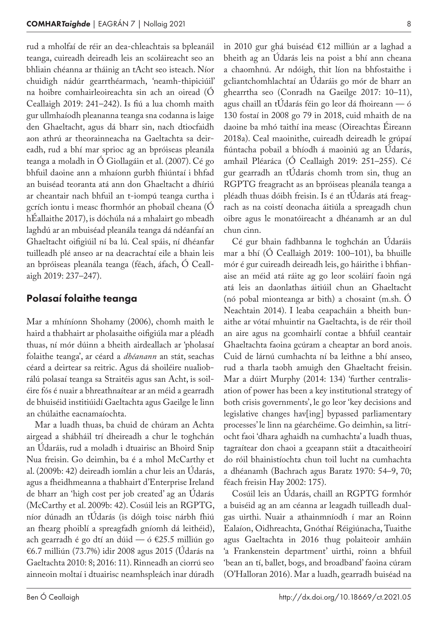rud a mholfaí de réir an dea-chleachtais sa bpleanáil teanga, cuireadh deireadh leis an scoláireacht seo an bhliain chéanna ar tháinig an tAcht seo isteach. Níor chuidigh nádúr gearrthéarmach, 'neamh-thipiciúil' na hoibre comhairleoireachta sin ach an oiread (Ó Ceallaigh 2019: 241–242). Is fiú a lua chomh maith gur ullmhaíodh pleananna teanga sna codanna is laige den Ghaeltacht, agus dá bharr sin, nach dtiocfaidh aon athrú ar theorainneacha na Gaeltachta sa deireadh, rud a bhí mar sprioc ag an bpróiseas pleanála teanga a moladh in Ó Giollagáin et al. (2007). Cé go bhfuil daoine ann a mhaíonn gurbh fhiúntaí i bhfad an buiséad teoranta atá ann don Ghaeltacht a dhíriú ar cheantair nach bhfuil an t-iompú teanga curtha i gcrích iontu i measc fhormhór an phobail cheana (Ó hÉallaithe 2017), is dóchúla ná a mhalairt go mbeadh laghdú ar an mbuiséad pleanála teanga dá ndéanfaí an Ghaeltacht oifigiúil ní ba lú. Ceal spáis, ní dhéanfar tuilleadh plé anseo ar na deacrachtaí eile a bhain leis an bpróiseas pleanála teanga (féach, áfach, Ó Ceallaigh 2019: 237–247).

#### Polasaí folaithe teanga

Mar a mhíníonn Shohamy (2006), chomh maith le haird a thabhairt ar pholasaithe oifigiúla mar a pléadh thuas, ní mór dúinn a bheith airdeallach ar 'pholasaí folaithe teanga', ar céard a *dhéanann* an stát, seachas céard a deirtear sa reitric. Agus dá shoiléire nualiobrálú polasaí teanga sa Straitéis agus san Acht, is soiléire fós é nuair a bhreathnaítear ar an méid a gearradh de bhuiséid institiúidí Gaeltachta agus Gaeilge le linn an chúlaithe eacnamaíochta.

Mar a luadh thuas, ba chuid de chúram an Achta airgead a shábháil trí dheireadh a chur le toghchán an Údaráis, rud a moladh i dtuairisc an Bhoird Snip Nua freisin. Go deimhin, ba é a mhol McCarthy et al. (2009b: 42) deireadh iomlán a chur leis an Údarás, agus a fheidhmeanna a thabhairt d'Enterprise Ireland de bharr an 'high cost per job created' ag an Údarás (McCarthy et al. 2009b: 42). Cosúil leis an RGPTG, níor dúnadh an tÚdarás (is dóigh toisc nárbh fhiú an fhearg phoiblí a spreagfadh gníomh dá leithéid), ach gearradh é go dtí an dúid — ó €25.5 milliún go €6.7 milliún (73.7%) idir 2008 agus 2015 (Údarás na Gaeltachta 2010: 8; 2016: 11). Rinneadh an ciorrú seo ainneoin moltaí i dtuairisc neamhspleách inar dúradh in 2010 gur ghá buiséad €12 milliún ar a laghad a bheith ag an Údarás leis na poist a bhí ann cheana a chaomhnú. Ar ndóigh, thit líon na bhfostaithe i gcliantchomhlachtaí an Údaráis go mór de bharr an ghearrtha seo (Conradh na Gaeilge 2017: 10–11), agus chaill an tÚdarás féin go leor dá fhoireann — ó 130 fostaí in 2008 go 79 in 2018, cuid mhaith de na daoine ba mhó taithí ina measc (Oireachtas Éireann 2018a). Ceal maoinithe, cuireadh deireadh le grúpaí fiúntacha pobail a bhíodh á maoiniú ag an Údarás, amhail Pléaráca (Ó Ceallaigh 2019: 251–255). Cé gur gearradh an tÚdarás chomh trom sin, thug an RGPTG freagracht as an bpróiseas pleanála teanga a pléadh thuas dóibh freisin. Is é an tÚdarás atá freagrach as na coistí deonacha áitiúla a spreagadh chun oibre agus le monatóireacht a dhéanamh ar an dul chun cinn.

Cé gur bhain fadhbanna le toghchán an Údaráis mar a bhí (Ó Ceallaigh 2019: 100–101), ba bhuille mór é gur cuireadh deireadh leis, go háirithe i bhfianaise an méid atá ráite ag go leor scoláirí faoin ngá atá leis an daonlathas áitiúil chun an Ghaeltacht (nó pobal mionteanga ar bith) a chosaint (m.sh. Ó Neachtain 2014). I leaba ceapacháin a bheith bunaithe ar vótaí mhuintir na Gaeltachta, is de réir thoil an aire agus na gcomhairlí contae a bhfuil ceantair Ghaeltachta faoina gcúram a cheaptar an bord anois. Cuid de lárnú cumhachta ní ba leithne a bhí anseo, rud a tharla taobh amuigh den Ghaeltacht freisin. Mar a dúirt Murphy (2014: 134) 'further centralisation of power has been a key institutional strategy of both crisis governments', le go leor 'key decisions and legislative changes hav[ing] bypassed parliamentary processes' le linn na géarchéime. Go deimhin, sa litríocht faoi 'dhara aghaidh na cumhachta' a luadh thuas, tagraítear don chaoi a gceapann stáit a dtacaitheoirí do róil bhainistíochta chun toil lucht na cumhachta a dhéanamh (Bachrach agus Baratz 1970: 54–9, 70; féach freisin Hay 2002: 175).

Cosúil leis an Údarás, chaill an RGPTG formhór a buiséid ag an am céanna ar leagadh tuilleadh dualgas uirthi. Nuair a athainmníodh í mar an Roinn Ealaíon, Oidhreachta, Gnóthaí Réigiúnacha, Tuaithe agus Gaeltachta in 2016 thug polaiteoir amháin 'a Frankenstein department' uirthi, roinn a bhfuil 'bean an tí, ballet, bogs, and broadband' faoina cúram (O'Halloran 2016). Mar a luadh, gearradh buiséad na

Ben Ó Ceallaigh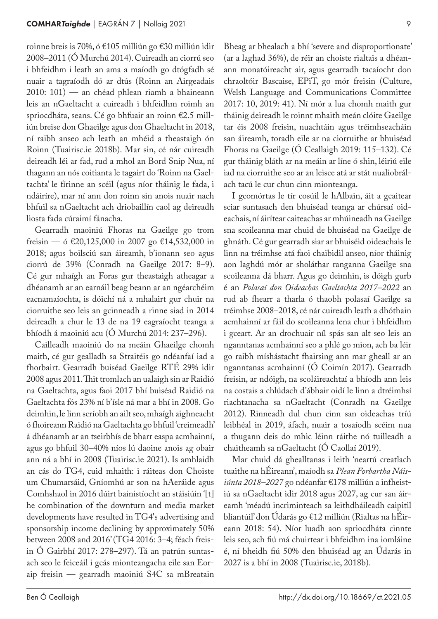roinne breis is 70%, ó €105 milliún go €30 milliún idir 2008–2011 (Ó Murchú 2014). Cuireadh an ciorrú seo i bhfeidhm i leath an ama a maíodh go dtógfadh sé nuair a tagraíodh dó ar dtús (Roinn an Airgeadais 2010: 101) — an chéad phlean riamh a bhaineann leis an nGaeltacht a cuireadh i bhfeidhm roimh an spriocdháta, seans. Cé go bhfuair an roinn €2.5 milliún breise don Ghaeilge agus don Ghaeltacht in 2018, ní raibh anseo ach leath an mhéid a theastaigh ón Roinn (Tuairisc.ie 2018b). Mar sin, cé nár cuireadh deireadh léi ar fad, rud a mhol an Bord Snip Nua, ní thagann an nós coitianta le tagairt do 'Roinn na Gaeltachta' le fírinne an scéil (agus níor tháinig le fada, i ndáiríre), mar ní ann don roinn sin anois nuair nach bhfuil sa nGaeltacht ach driobaillín caol ag deireadh liosta fada cúraimí fánacha.

Gearradh maoiniú Fhoras na Gaeilge go trom freisin — ó €20,125,000 in 2007 go €14,532,000 in 2018; agus boilsciú san áireamh, b'ionann seo agus ciorrú de 39% (Conradh na Gaeilge 2017: 8–9). Cé gur mhaígh an Foras gur theastaigh atheagar a dhéanamh ar an earnáil beag beann ar an ngéarchéim eacnamaíochta, is dóichí ná a mhalairt gur chuir na ciorruithe seo leis an gcinneadh a rinne siad in 2014 deireadh a chur le 13 de na 19 eagraíocht teanga a bhíodh á maoiniú acu (Ó Murchú 2014: 237–296).

Cailleadh maoiniú do na meáin Ghaeilge chomh maith, cé gur gealladh sa Straitéis go ndéanfaí iad a fhorbairt. Gearradh buiséad Gaeilge RTÉ 29% idir 2008 agus 2011. Thit tromlach an ualaigh sin ar Raidió na Gaeltachta, agus faoi 2017 bhí buiséad Raidió na Gaeltachta fós 23% ní b'ísle ná mar a bhí in 2008. Go deimhin, le linn scríobh an ailt seo, mhaígh aighneacht ó fhoireann Raidió na Gaeltachta go bhfuil 'creimeadh' á dhéanamh ar an tseirbhís de bharr easpa acmhainní, agus go bhfuil 30–40% níos lú daoine anois ag obair ann ná a bhí in 2008 (Tuairisc.ie 2021). Is amhlaidh an cás do TG4, cuid mhaith: i ráiteas don Choiste um Chumarsáid, Gníomhú ar son na hAeráide agus Comhshaol in 2016 dúirt bainistíocht an stáisiúin '[t] he combination of the downturn and media market developments have resulted in TG4's advertising and sponsorship income declining by approximately 50% between 2008 and 2016' (TG4 2016: 3–4; féach freisin Ó Gairbhí 2017: 278–297). Tá an patrún suntasach seo le feiceáil i gcás mionteangacha eile san Eoraip freisin — gearradh maoiniú S4C sa mBreatain

Bheag ar bhealach a bhí 'severe and disproportionate' (ar a laghad 36%), de réir an choiste rialtais a dhéanann monatóireacht air, agus gearradh tacaíocht don chraoltóir Bascaise, EPiT, go mór freisin (Culture, Welsh Language and Communications Committee 2017: 10, 2019: 41). Ní mór a lua chomh maith gur tháinig deireadh le roinnt mhaith meán clóite Gaeilge tar éis 2008 freisin, nuachtáin agus tréimhseacháin san áireamh, toradh eile ar na ciorruithe ar bhuiséad Fhoras na Gaeilge (Ó Ceallaigh 2019: 115–132). Cé gur tháinig bláth ar na meáin ar líne ó shin, léiriú eile iad na ciorruithe seo ar an leisce atá ar stát nualiobrálach tacú le cur chun cinn mionteanga.

I gcomórtas le tír cosúil le hAlbain, áit a gcaitear sciar suntasach den bhuiséad teanga ar chúrsaí oideachais, ní áirítear caiteachas ar mhúineadh na Gaeilge sna scoileanna mar chuid de bhuiséad na Gaeilge de ghnáth. Cé gur gearradh siar ar bhuiséid oideachais le linn na tréimhse atá faoi chaibidil anseo, níor tháinig aon laghdú mór ar sholáthar ranganna Gaeilge sna scoileanna dá bharr. Agus go deimhin, is dóigh gurb é an *Polasaí don Oideachas Gaeltachta 2017–2022* an rud ab fhearr a tharla ó thaobh polasaí Gaeilge sa tréimhse 2008–2018, cé nár cuireadh leath a dhóthain acmhainní ar fáil do scoileanna lena chur i bhfeidhm i gceart. Ar an drochuair níl spás san alt seo leis an nganntanas acmhainní seo a phlé go mion, ach ba léir go raibh míshástacht fhairsing ann mar gheall ar an nganntanas acmhainní (Ó Coimín 2017). Gearradh freisin, ar ndóigh, na scoláireachtaí a bhíodh ann leis na costais a chlúdach d'ábhair oidí le linn a dtréimhsí riachtanacha sa nGaeltacht (Conradh na Gaeilge 2012). Rinneadh dul chun cinn san oideachas tríú leibhéal in 2019, áfach, nuair a tosaíodh scéim nua a thugann deis do mhic léinn ráithe nó tuilleadh a chaitheamh sa nGaeltacht (Ó Caollaí 2019).

Mar chuid dá ghealltanas i leith 'neartú creatlach tuaithe na hÉireann', maíodh sa *Plean Forbartha Náisiúnta 2018–2027* go ndéanfar €178 milliún a infheistiú sa nGaeltacht idir 2018 agus 2027, ag cur san áireamh 'méadú incriminteach sa leithdháileadh caipitil bliantúil' don Údarás go €12 milliún (Rialtas na hÉireann 2018: 54). Níor luadh aon spriocdháta cinnte leis seo, ach fiú má chuirtear i bhfeidhm ina iomláine é, ní bheidh fiú 50% den bhuiséad ag an Údarás in 2027 is a bhí in 2008 (Tuairisc.ie, 2018b).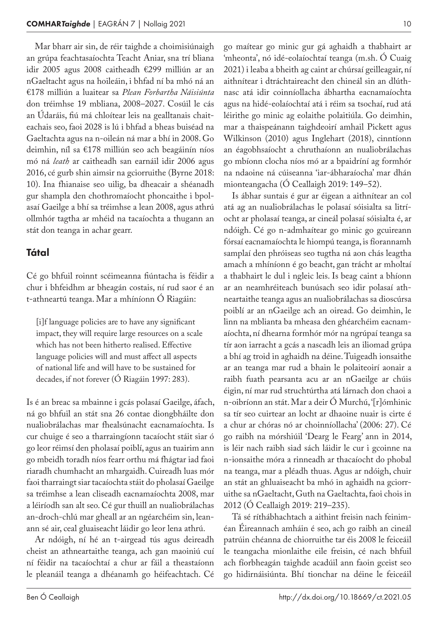Mar bharr air sin, de réir taighde a choimisiúnaigh an grúpa feachtasaíochta Teacht Aniar, sna trí bliana idir 2005 agus 2008 caitheadh €299 milliún ar an nGaeltacht agus na hoileáin, i bhfad ní ba mhó ná an €178 milliún a luaitear sa *Plean Forbartha Náisiúnta* don tréimhse 19 mbliana, 2008–2027. Cosúil le cás an Údaráis, fiú má chloítear leis na gealltanais chaiteachais seo, faoi 2028 is lú i bhfad a bheas buiséad na Gaeltachta agus na n-oileán ná mar a bhí in 2008. Go deimhin, níl sa €178 milliún seo ach beagáinín níos mó ná *leath* ar caitheadh san earnáil idir 2006 agus 2016, cé gurb shin aimsir na gciorruithe (Byrne 2018: 10). Ina fhianaise seo uilig, ba dheacair a shéanadh gur shampla den chothromaíocht phoncaithe i bpolasaí Gaeilge a bhí sa tréimhse a lean 2008, agus athrú ollmhór tagtha ar mhéid na tacaíochta a thugann an stát don teanga in achar gearr.

#### Tátal

Cé go bhfuil roinnt scéimeanna fiúntacha is féidir a chur i bhfeidhm ar bheagán costais, ní rud saor é an t-athneartú teanga. Mar a mhíníonn Ó Riagáin:

[i]f language policies are to have any significant impact, they will require large resources on a scale which has not been hitherto realised. Effective language policies will and must affect all aspects of national life and will have to be sustained for decades, if not forever (Ó Riagáin 1997: 283).

Is é an breac sa mbainne i gcás polasaí Gaeilge, áfach, ná go bhfuil an stát sna 26 contae diongbháilte don nualiobrálachas mar fhealsúnacht eacnamaíochta. Is cur chuige é seo a tharraingíonn tacaíocht stáit siar ó go leor réimsí den pholasaí poiblí, agus an tuairim ann go mbeidh toradh níos fearr orthu má fhágtar iad faoi riaradh chumhacht an mhargaidh. Cuireadh luas mór faoi tharraingt siar tacaíochta stáit do pholasaí Gaeilge sa tréimhse a lean cliseadh eacnamaíochta 2008, mar a léiríodh san alt seo. Cé gur thuill an nualiobrálachas an-droch-chlú mar gheall ar an ngéarchéim sin, leanann sé air, ceal gluaiseacht láidir go leor lena athrú.

Ar ndóigh, ní hé an t-airgead tús agus deireadh cheist an athneartaithe teanga, ach gan maoiniú cuí ní féidir na tacaíochtaí a chur ar fáil a theastaíonn le pleanáil teanga a dhéanamh go héifeachtach. Cé go maítear go minic gur gá aghaidh a thabhairt ar 'mheonta', nó idé-eolaíochtaí teanga (m.sh. Ó Cuaig 2021) i leaba a bheith ag caint ar chúrsaí geilleagair, ní aithnítear i dtráchtaireacht den chineál sin an dlúthnasc atá idir coinníollacha ábhartha eacnamaíochta agus na hidé-eolaíochtaí atá i réim sa tsochaí, rud atá léirithe go minic ag eolaithe polaitiúla. Go deimhin, mar a thaispeánann taighdeoirí amhail Pickett agus Wilkinson (2010) agus Inglehart (2018), cinntíonn an éagobhsaíocht a chruthaíonn an nualiobrálachas go mbíonn clocha níos mó ar a bpaidríní ag formhór na ndaoine ná cúiseanna 'iar-ábharaíocha' mar dhán mionteangacha (Ó Ceallaigh 2019: 149–52).

Is ábhar suntais é gur ar éigean a aithnítear an col atá ag an nualiobrálachas le polasaí sóisialta sa litríocht ar pholasaí teanga, ar cineál polasaí sóisialta é, ar ndóigh. Cé go n-admhaítear go minic go gcuireann fórsaí eacnamaíochta le hiompú teanga, is fíorannamh samplaí den phróiseas seo tugtha ná aon chás leagtha amach a mhíníonn é go beacht, gan trácht ar mholtaí a thabhairt le dul i ngleic leis. Is beag caint a bhíonn ar an neamhréiteach bunúsach seo idir polasaí athneartaithe teanga agus an nualiobrálachas sa dioscúrsa poiblí ar an nGaeilge ach an oiread. Go deimhin, le linn na mblianta ba mheasa den ghéarchéim eacnamaíochta, ní dhearna formhór mór na ngrúpaí teanga sa tír aon iarracht a gcás a nascadh leis an iliomad grúpa a bhí ag troid in aghaidh na déine. Tuigeadh ionsaithe ar an teanga mar rud a bhain le polaiteoirí aonair a raibh fuath pearsanta acu ar an nGaeilge ar chúis éigin, ní mar rud struchtúrtha atá lárnach don chaoi a n-oibríonn an stát. Mar a deir Ó Murchú, '[r]ómhinic sa tír seo cuirtear an locht ar dhaoine nuair is cirte é a chur ar chóras nó ar choinníollacha' (2006: 27). Cé go raibh na mórshiúil 'Dearg le Fearg' ann in 2014, is léir nach raibh siad sách láidir le cur i gcoinne na n-ionsaithe móra a rinneadh ar thacaíocht do phobal na teanga, mar a pléadh thuas. Agus ar ndóigh, chuir an stát an ghluaiseacht ba mhó in aghaidh na gciorruithe sa nGaeltacht, Guth na Gaeltachta, faoi chois in 2012 (Ó Ceallaigh 2019: 219–235).

Tá sé ríthábhachtach a aithint freisin nach feiniméan Éireannach amháin é seo, ach go raibh an cineál patrúin chéanna de chiorruithe tar éis 2008 le feiceáil le teangacha mionlaithe eile freisin, cé nach bhfuil ach fíorbheagán taighde acadúil ann faoin gceist seo go hidirnáisiúnta. Bhí tionchar na déine le feiceáil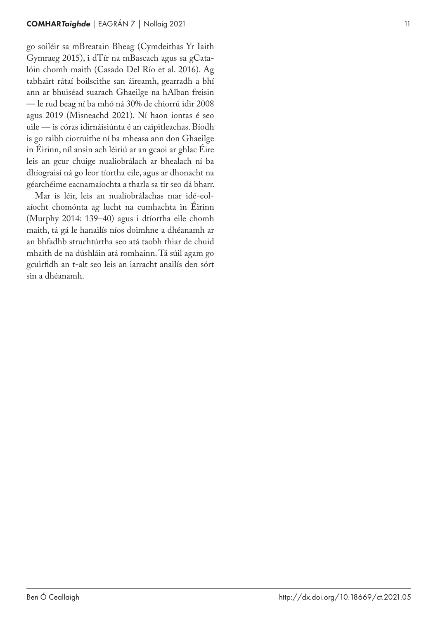go soiléir sa mBreatain Bheag (Cymdeithas Yr Iaith Gymraeg 2015), i dTír na mBascach agus sa gCatalóin chomh maith (Casado Del Río et al. 2016). Ag tabhairt rátaí boilscithe san áireamh, gearradh a bhí ann ar bhuiséad suarach Ghaeilge na hAlban freisin — le rud beag ní ba mhó ná 30% de chiorrú idir 2008 agus 2019 (Misneachd 2021). Ní haon iontas é seo uile — is córas idirnáisiúnta é an caipitleachas. Bíodh is go raibh ciorruithe ní ba mheasa ann don Ghaeilge in Éirinn, níl ansin ach léiriú ar an gcaoi ar ghlac Éire leis an gcur chuige nualiobrálach ar bhealach ní ba dhíograisí ná go leor tíortha eile, agus ar dhonacht na géarchéime eacnamaíochta a tharla sa tír seo dá bharr.

Mar is léir, leis an nualiobrálachas mar idé -eol aíocht chomónta ag lucht na cumhachta in Éirinn (Murphy 2014: 139–40) agus i dtíortha eile chomh maith, tá gá le hanailís níos doimhne a dhéanamh ar an bhfadhb struchtúrtha seo atá taobh thiar de chuid mhaith de na dúshláin atá romhainn. Tá súil agam go gcuirfidh an t alt seo leis an iarracht anailís den sórt sin a dhéanamh.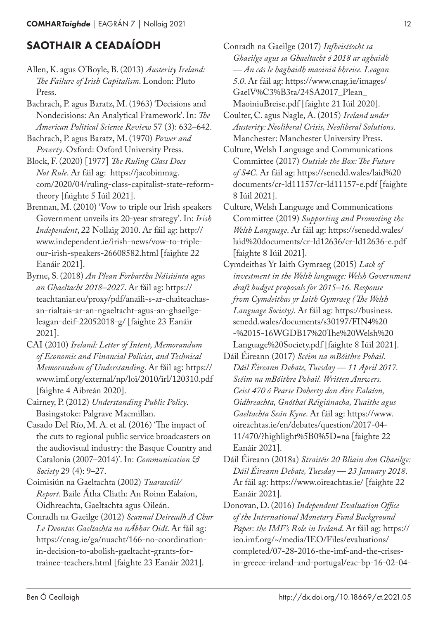### SAOTHAIR A CEADAÍODH

- Allen, K. agus O'Boyle, B. (2013) *Austerity Ireland: The Failure of Irish Capitalism*. London: Pluto Press.
- Bachrach, P. agus Baratz, M. (1963) 'Decisions and Nondecisions: An Analytical Framework'. In: *The American Political Science Review* 57 (3): 632–642.
- Bachrach, P. agus Baratz, M. (1970) *Power and Poverty*. Oxford: Oxford University Press.
- Block, F. (2020) [1977] *The Ruling Class Does Not Rule*. Ar fáil ag: https://jacobinmag. com/2020/04/ruling-class-capitalist-state-reformtheory [faighte 5 Iúil 2021].
- Brennan, M. (2010) 'Vow to triple our Irish speakers Government unveils its 20-year strategy'. In: *Irish Independent*, 22 Nollaig 2010. Ar fáil ag: http:// www.independent.ie/irish-news/vow-to-tripleour-irish-speakers-26608582.html [faighte 22 Eanáir 2021].
- Byrne, S. (2018) *An Plean Forbartha Náisiúnta agus an Ghaeltacht 2018–2027*. Ar fáil ag: https:// teachtaniar.eu/proxy/pdf/anaili-s-ar-chaiteachasan-rialtais-ar-an-ngaeltacht-agus-an-ghaeilgeleagan-deif-22052018-g/ [faighte 23 Eanáir 2021].
- CAI (2010) *Ireland: Letter of Intent, Memorandum of Economic and Financial Policies, and Technical Memorandum of Understanding*. Ar fáil ag: https:// www.imf.org/external/np/loi/2010/irl/120310.pdf [faighte 4 Aibreán 2020].
- Cairney, P. (2012) *Understanding Public Policy*. Basingstoke: Palgrave Macmillan.
- Casado Del Río, M. A. et al. (2016) 'The impact of the cuts to regional public service broadcasters on the audiovisual industry: the Basque Country and Catalonia (2007–2014)'. In: *Communication & Society* 29 (4): 9–27.
- Coimisiún na Gaeltachta (2002) *Tuarascáil/ Report*. Baile Átha Cliath: An Roinn Ealaíon, Oidhreachta, Gaeltachta agus Oileán.
- Conradh na Gaeilge (2012) *Scannal Deireadh A Chur Le Deontas Gaeltachta na nÁbhar Oidí*. Ar fáil ag: https://cnag.ie/ga/nuacht/166-no-coordinationin-decision-to-abolish-gaeltacht-grants-fortrainee-teachers.html [faighte 23 Eanáir 2021].
- Conradh na Gaeilge (2017) *Infheistíocht sa Ghaeilge agus sa Ghaeltacht ó 2018 ar aghaidh — An cás le haghaidh maoiniú bhreise. Leagan 5.0*. Ar fáil ag: https://www.cnag.ie/images/ GaelV%C3%B3ta/24SA2017\_Plean\_ MaoiniuBreise.pdf [faighte 21 Iúil 2020].
- Coulter, C. agus Nagle, A. (2015) *Ireland under Austerity: Neoliberal Crisis, Neoliberal Solutions*. Manchester: Manchester University Press.
- Culture, Welsh Language and Communications Committee (2017) *Outside the Box: The Future of S4C*. Ar fáil ag: https://senedd.wales/laid%20 documents/cr-ld11157/cr-ld11157-e.pdf [faighte 8 Iúil 2021].
- Culture, Welsh Language and Communications Committee (2019) *Supporting and Promoting the Welsh Language*. Ar fáil ag: https://senedd.wales/ laid%20documents/cr-ld12636/cr-ld12636-e.pdf [faighte 8 Iúil 2021].
- Cymdeithas Yr Iaith Gymraeg (2015) *Lack of investment in the Welsh language: Welsh Government draft budget proposals for 2015–16. Response from Cymdeithas yr Iaith Gymraeg (The Welsh Language Society)*. Ar fáil ag: https://business. senedd.wales/documents/s30197/FIN4%20 -%2015-16WGDB17%20The%20Welsh%20 Language%20Society.pdf [faighte 8 Iúil 2021].
- Dáil Éireann (2017) *Scéim na mBóithre Pobail. Dáil Éireann Debate, Tuesday — 11 April 2017. Scéim na mBóithre Pobail. Written Answers. Ceist 470 ó Pearse Doherty don Aire Ealaíon, Oidhreachta, Gnóthaí Réigiúnacha, Tuaithe agus Gaeltachta Seán Kyne*. Ar fáil ag: https://www. oireachtas.ie/en/debates/question/2017-04-11/470/?highlight%5B0%5D=na [faighte 22 Eanáir 2021].
- Dáil Éireann (2018a) *Straitéis 20 Bliain don Ghaeilge: Dáil Éireann Debate, Tuesday — 23 January 2018*. Ar fáil ag: https://www.oireachtas.ie/ [faighte 22 Eanáir 2021].
- Donovan, D. (2016) *Independent Evaluation Office of the International Monetary Fund Background Paper: the IMF's Role in Ireland*. Ar fáil ag: https:// ieo.imf.org/~/media/IEO/Files/evaluations/ completed/07-28-2016-the-imf-and-the-crisesin-greece-ireland-and-portugal/eac-bp-16-02-04-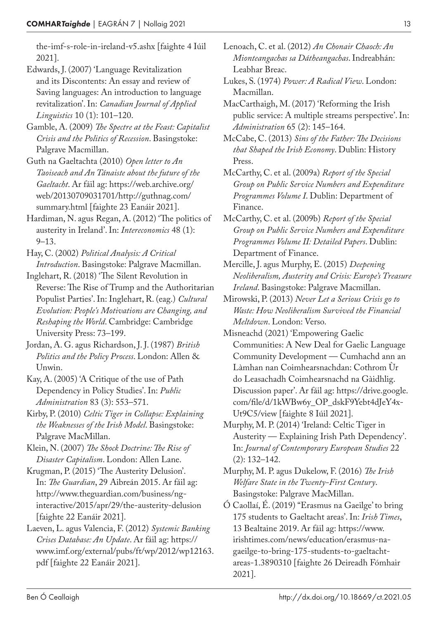the-imf-s-role-in-ireland-v5.ashx [faighte 4 Iúil 2021].

Edwards, J. (2007) 'Language Revitalization and its Discontents: An essay and review of Saving languages: An introduction to language revitalization'. In: *Canadian Journal of Applied Linguistics* 10 (1): 101–120.

Gamble, A. (2009) *The Spectre at the Feast: Capitalist Crisis and the Politics of Recession*. Basingstoke: Palgrave Macmillan.

- Guth na Gaeltachta (2010) *Open letter to An Taoiseach and An Tánaiste about the future of the Gaeltacht*. Ar fáil ag: https://web.archive.org/ web/20130709031701/http://guthnag.com/ summary.html [faighte 23 Eanáir 2021].
- Hardiman, N. agus Regan, A. (2012) 'The politics of austerity in Ireland'. In: *Intereconomics* 48 (1): 9–13.
- Hay, C. (2002) *Political Analysis: A Critical Introduction*. Basingstoke: Palgrave Macmillan.
- Inglehart, R. (2018) 'The Silent Revolution in Reverse: The Rise of Trump and the Authoritarian Populist Parties'. In: Inglehart, R. (eag.) *Cultural Evolution: People's Motivations are Changing, and Reshaping the World*. Cambridge: Cambridge University Press: 73–199.
- Jordan, A. G. agus Richardson, J. J. (1987) *British Politics and the Policy Process*. London: Allen & Unwin.
- Kay, A. (2005) 'A Critique of the use of Path Dependency in Policy Studies'. In: *Public Administration* 83 (3): 553–571.
- Kirby, P. (2010) *Celtic Tiger in Collapse: Explaining the Weaknesses of the Irish Model*. Basingstoke: Palgrave MacMillan.

Klein, N. (2007) *The Shock Doctrine: The Rise of Disaster Capitalism*. London: Allen Lane.

Krugman, P. (2015) 'The Austerity Delusion'. In: *The Guardian*, 29 Aibreán 2015. Ar fáil ag: http://www.theguardian.com/business/nginteractive/2015/apr/29/the-austerity-delusion [faighte 22 Eanáir 2021].

Laeven, L. agus Valencia, F. (2012) *Systemic Banking Crises Database: An Update*. Ar fáil ag: https:// www.imf.org/external/pubs/ft/wp/2012/wp12163. pdf [faighte 22 Eanáir 2021].

- Lenoach, C. et al. (2012) *An Chonair Chaoch: An Mionteangachas sa Dátheangachas*. Indreabhán: Leabhar Breac.
- Lukes, S. (1974) *Power: A Radical View*. London: Macmillan.
- MacCarthaigh, M. (2017) 'Reforming the Irish public service: A multiple streams perspective'. In: *Administration* 65 (2): 145–164.

McCabe, C. (2013) *Sins of the Father: The Decisions that Shaped the Irish Economy*. Dublin: History Press.

- McCarthy, C. et al. (2009a) *Report of the Special Group on Public Service Numbers and Expenditure Programmes Volume I*. Dublin: Department of Finance.
- McCarthy, C. et al. (2009b) *Report of the Special Group on Public Service Numbers and Expenditure Programmes Volume II: Detailed Papers*. Dublin: Department of Finance.
- Mercille, J. agus Murphy, E. (2015) *Deepening Neoliberalism, Austerity and Crisis: Europe's Treasure Ireland*. Basingstoke: Palgrave Macmillan.
- Mirowski, P. (2013) *Never Let a Serious Crisis go to Waste: How Neoliberalism Survived the Financial Meltdown*. London: Verso.
- Misneachd (2021) 'Empowering Gaelic Communities: A New Deal for Gaelic Language Community Development — Cumhachd ann an Làmhan nan Coimhearsnachdan: Cothrom Ùr do Leasachadh Coimhearsnachd na Gàidhlig. Discussion paper'. Ar fáil ag: https://drive.google. com/file/d/1kWBw6y\_OP\_dskF9Yebt4dJeY4x-Ut9C5/view [faighte 8 Iúil 2021].
- Murphy, M. P. (2014) 'Ireland: Celtic Tiger in Austerity — Explaining Irish Path Dependency'. In: *Journal of Contemporary European Studies* 22 (2): 132–142.

Murphy, M. P. agus Dukelow, F. (2016) *The Irish Welfare State in the Twenty-First Century*. Basingstoke: Palgrave MacMillan.

Ó Caollaí, É. (2019) ''Erasmus na Gaeilge' to bring 175 students to Gaeltacht areas'. In: *Irish Times*, 13 Bealtaine 2019. Ar fáil ag: https://www. irishtimes.com/news/education/erasmus-nagaeilge-to-bring-175-students-to-gaeltachtareas-1.3890310 [faighte 26 Deireadh Fómhair 2021].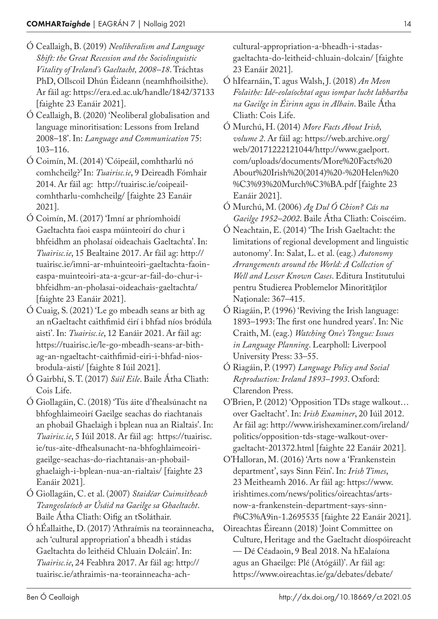- Ó Ceallaigh, B. (2019) *Neoliberalism and Language Shift: the Great Recession and the Sociolinguistic Vitality of Ireland's Gaeltacht, 2008–18*. Tráchtas PhD, Ollscoil Dhún Éideann (neamhfhoilsithe). Ar fáil ag: https://era.ed.ac.uk/handle/1842/37133 [faighte 23 Eanáir 2021].
- Ó Ceallaigh, B. (2020) 'Neoliberal globalisation and language minoritisation: Lessons from Ireland 2008–18'. In: *Language and Communication* 75: 103–116.
- Ó Coimín, M. (2014) 'Cóipeáil, comhtharlú nó comhcheilg?' In: *Tuairisc.ie*, 9 Deireadh Fómhair 2014. Ar fáil ag: http://tuairisc.ie/coipeailcomhtharlu-comhcheilg/ [faighte 23 Eanáir 2021].
- Ó Coimín, M. (2017) 'Imní ar phríomhoidí Gaeltachta faoi easpa múinteoirí do chur i bhfeidhm an pholasaí oideachais Gaeltachta'. In: *Tuairisc.ie*, 15 Bealtaine 2017. Ar fáil ag: http:// tuairisc.ie/imni-ar-mhuinteoiri-gaeltachta-faoineaspa-muinteoiri-ata-a-gcur-ar-fail-do-chur-ibhfeidhm-an-pholasai-oideachais-gaeltachta/ [faighte 23 Eanáir 2021].
- Ó Cuaig, S. (2021) 'Le go mbeadh seans ar bith ag an nGaeltacht caithfimid éirí i bhfad níos bródúla aisti'. In: *Tuairisc.ie*, 12 Eanáir 2021. Ar fáil ag: https://tuairisc.ie/le-go-mbeadh-seans-ar-bithag-an-ngaeltacht-caithfimid-eiri-i-bhfad-niosbrodula-aisti/ [faighte 8 Iúil 2021].
- Ó Gairbhí, S. T. (2017) *Súil Eile*. Baile Átha Cliath: Cois Life.
- Ó Giollagáin, C. (2018) 'Tús áite d'fhealsúnacht na bhfoghlaimeoirí Gaeilge seachas do riachtanais an phobail Ghaelaigh i bplean nua an Rialtais'. In: *Tuairisc.ie*, 5 Iúil 2018. Ar fáil ag: https://tuairisc. ie/tus-aite-dfhealsunacht-na-bhfoghlaimeoirigaeilge-seachas-do-riachtanais-an-phobailghaelaigh-i-bplean-nua-an-rialtais/ [faighte 23 Eanáir 2021].
- Ó Giollagáin, C. et al. (2007) *Staidéar Cuimsitheach Teangeolaíoch ar Úsáid na Gaeilge sa Ghaeltacht*. Baile Átha Cliath: Oifig an tSoláthair.
- Ó hÉallaithe, D. (2017) 'Athraímis na teorainneacha, ach 'cultural appropriation' a bheadh i stádas Gaeltachta do leithéid Chluain Dolcáin'. In: *Tuairisc.ie*, 24 Feabhra 2017. Ar fáil ag: http:// tuairisc.ie/athraimis-na-teorainneacha-ach-

cultural-appropriation-a-bheadh-i-stadasgaeltachta-do-leitheid-chluain-dolcain/ [faighte 23 Eanáir 2021].

- Ó hIfearnáin, T. agus Walsh, J. (2018) *An Meon Folaithe: Idé-eolaíochtaí agus iompar lucht labhartha na Gaeilge in Éirinn agus in Albain*. Baile Átha Cliath: Cois Life.
- Ó Murchú, H. (2014) *More Facts About Irish, volume 2*. Ar fáil ag: https://web.archive.org/ web/20171222121044/http://www.gaelport. com/uploads/documents/More%20Facts%20 About%20Irish%20(2014)%20-%20Helen%20 %C3%93%20Murch%C3%BA.pdf [faighte 23 Eanáir 2021].
- Ó Murchú, M. (2006) *Ag Dul Ó Chion? Cás na Gaeilge 1952–2002*. Baile Átha Cliath: Coiscéim.
- Ó Neachtain, E. (2014) 'The Irish Gaeltacht: the limitations of regional development and linguistic autonomy'. In: Salat, L. et al. (eag.) *Autonomy Arrangements around the World: A Collection of Well and Lesser Known Cases*. Editura Institutului pentru Studierea Problemelor Minorităţilor Naţionale: 367–415.
- Ó Riagáin, P. (1996) 'Reviving the Irish language: 1893–1993: The first one hundred years'. In: Nic Craith, M. (eag.) *Watching One's Tongue: Issues in Language Planning*. Learpholl: Liverpool University Press: 33–55.
- Ó Riagáin, P. (1997) *Language Policy and Social Reproduction: Ireland 1893–1993*. Oxford: Clarendon Press.
- O'Brien, P. (2012) 'Opposition TDs stage walkout… over Gaeltacht'. In: *Irish Examiner*, 20 Iúil 2012. Ar fáil ag: http://www.irishexaminer.com/ireland/ politics/opposition-tds-stage-walkout-overgaeltacht-201372.html [faighte 22 Eanáir 2021].
- O'Halloran, M. (2016) 'Arts now a 'Frankenstein department', says Sinn Féin'. In: *Irish Times*, 23 Meitheamh 2016. Ar fáil ag: https://www. irishtimes.com/news/politics/oireachtas/artsnow-a-frankenstein-department-says-sinnf%C3%A9in-1.2695535 [faighte 22 Eanáir 2021].
- Oireachtas Éireann (2018) 'Joint Committee on Culture, Heritage and the Gaeltacht díospóireacht — Dé Céadaoin, 9 Beal 2018. Na hEalaíona agus an Ghaeilge: Plé (Atógáil)'. Ar fáil ag: https://www.oireachtas.ie/ga/debates/debate/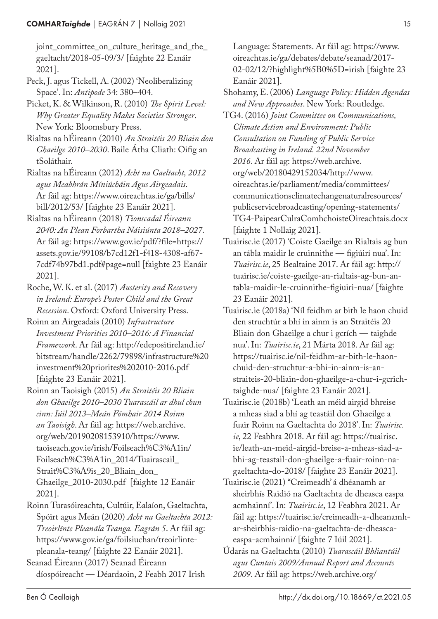joint\_committee\_on\_culture\_heritage\_and\_the\_ gaeltacht/2018-05-09/3/ [faighte 22 Eanáir 2021].

Peck, J. agus Tickell, A. (2002) 'Neoliberalizing Space'. In: *Antipode* 34: 380–404.

Picket, K. & Wilkinson, R. (2010) *The Spirit Level: Why Greater Equality Makes Societies Stronger*. New York: Bloomsbury Press.

Rialtas na hÉireann (2010) *An Straitéis 20 Bliain don Ghaeilge 2010–2030*. Baile Átha Cliath: Oifig an tSoláthair.

Rialtas na hÉireann (2012) *Acht na Gaeltacht, 2012 agus Meabhrán Míniúcháin Agus Airgeadais*. Ar fáil ag: https://www.oireachtas.ie/ga/bills/ bill/2012/53/ [faighte 23 Eanáir 2021].

Rialtas na hÉireann (2018) *Tionscadal Éireann 2040: An Plean Forbartha Náisiúnta 2018–2027*. Ar fáil ag: https://www.gov.ie/pdf/?file=https:// assets.gov.ie/99108/b7cd12f1-f418-4308-af67-7cdf74b97bd1.pdf#page=null [faighte 23 Eanáir 2021].

Roche, W. K. et al. (2017) *Austerity and Recovery in Ireland: Europe's Poster Child and the Great Recession*. Oxford: Oxford University Press.

Roinn an Airgeadais (2010) *Infrastructure Investment Priorities 2010–2016: A Financial Framework*. Ar fáil ag: http://edepositireland.ie/ bitstream/handle/2262/79898/infrastructure%20 investment%20priorites%202010-2016.pdf [faighte 23 Eanáir 2021].

Roinn an Taoisigh (2015) *An Straitéis 20 Bliain don Ghaeilge 2010–2030 Tuarascáil ar dhul chun cinn: Iúil 2013–Meán Fómhair 2014 Roinn an Taoisigh*. Ar fáil ag: https://web.archive. org/web/20190208153910/https://www. taoiseach.gov.ie/irish/Foilseach%C3%A1in/ Foilseach%C3%A1in\_2014/Tuairascail\_ Strait%C3%A9is\_20\_Bliain\_don\_ Ghaeilge\_2010-2030.pdf [faighte 12 Eanáir 2021].

Roinn Turasóireachta, Cultúir, Ealaíon, Gaeltachta, Spóirt agus Meán (2020) *Acht na Gaeltachta 2012: Treoirlínte Pleanála Teanga. Eagrán 5*. Ar fáil ag: https://www.gov.ie/ga/foilsiuchan/treoirlintepleanala-teang/ [faighte 22 Eanáir 2021].

Seanad Éireann (2017) Seanad Éireann díospóireacht — Déardaoin, 2 Feabh 2017 Irish Language: Statements. Ar fáil ag: https://www. oireachtas.ie/ga/debates/debate/seanad/2017-02-02/12/?highlight%5B0%5D=irish [faighte 23 Eanáir 2021].

Shohamy, E. (2006) *Language Policy: Hidden Agendas and New Approaches*. New York: Routledge.

TG4. (2016) *Joint Committee on Communications, Climate Action and Environment: Public Consultation on Funding of Public Service Broadcasting in Ireland. 22nd November 2016*. Ar fáil ag: https://web.archive. org/web/20180429152034/http://www. oireachtas.ie/parliament/media/committees/ communicationsclimatechangenaturalresources/ publicservicebroadcasting/opening-statements/ TG4-PaipearCulraComhchoisteOireachtais.docx [faighte 1 Nollaig 2021].

Tuairisc.ie (2017) 'Coiste Gaeilge an Rialtais ag bun an tábla maidir le cruinnithe — figiúirí nua'. In: *Tuairisc.ie*, 25 Bealtaine 2017. Ar fáil ag: http:// tuairisc.ie/coiste-gaeilge-an-rialtais-ag-bun-antabla-maidir-le-cruinnithe-figiuiri-nua/ [faighte 23 Eanáir 2021].

Tuairisc.ie (2018a) 'Níl feidhm ar bith le haon chuid den struchtúr a bhí in ainm is an Straitéis 20 Bliain don Ghaeilge a chur i gcrích — taighde nua'. In: *Tuairisc.ie*, 21 Márta 2018. Ar fáil ag: https://tuairisc.ie/nil-feidhm-ar-bith-le-haonchuid-den-struchtur-a-bhi-in-ainm-is-anstraiteis-20-bliain-don-ghaeilge-a-chur-i-gcrichtaighde-nua/ [faighte 23 Eanáir 2021].

Tuairisc.ie (2018b) 'Leath an méid airgid bhreise a mheas siad a bhí ag teastáil don Ghaeilge a fuair Roinn na Gaeltachta do 2018'. In: *Tuairisc. ie*, 22 Feabhra 2018. Ar fáil ag: https://tuairisc. ie/leath-an-meid-airgid-breise-a-mheas-siad-abhi-ag-teastail-don-ghaeilge-a-fuair-roinn-nagaeltachta-do-2018/ [faighte 23 Eanáir 2021].

Tuairisc.ie (2021) ''Creimeadh' á dhéanamh ar sheirbhís Raidió na Gaeltachta de dheasca easpa acmhainní'. In: *Tuairisc.ie*, 12 Feabhra 2021. Ar fáil ag: https://tuairisc.ie/creimeadh-a-dheanamhar-sheirbhis-raidio-na-gaeltachta-de-dheascaeaspa-acmhainni/ [faighte 7 Iúil 2021].

Údarás na Gaeltachta (2010) *Tuarascáil Bhliantúil agus Cuntais 2009/Annual Report and Accounts 2009*. Ar fáil ag: https://web.archive.org/